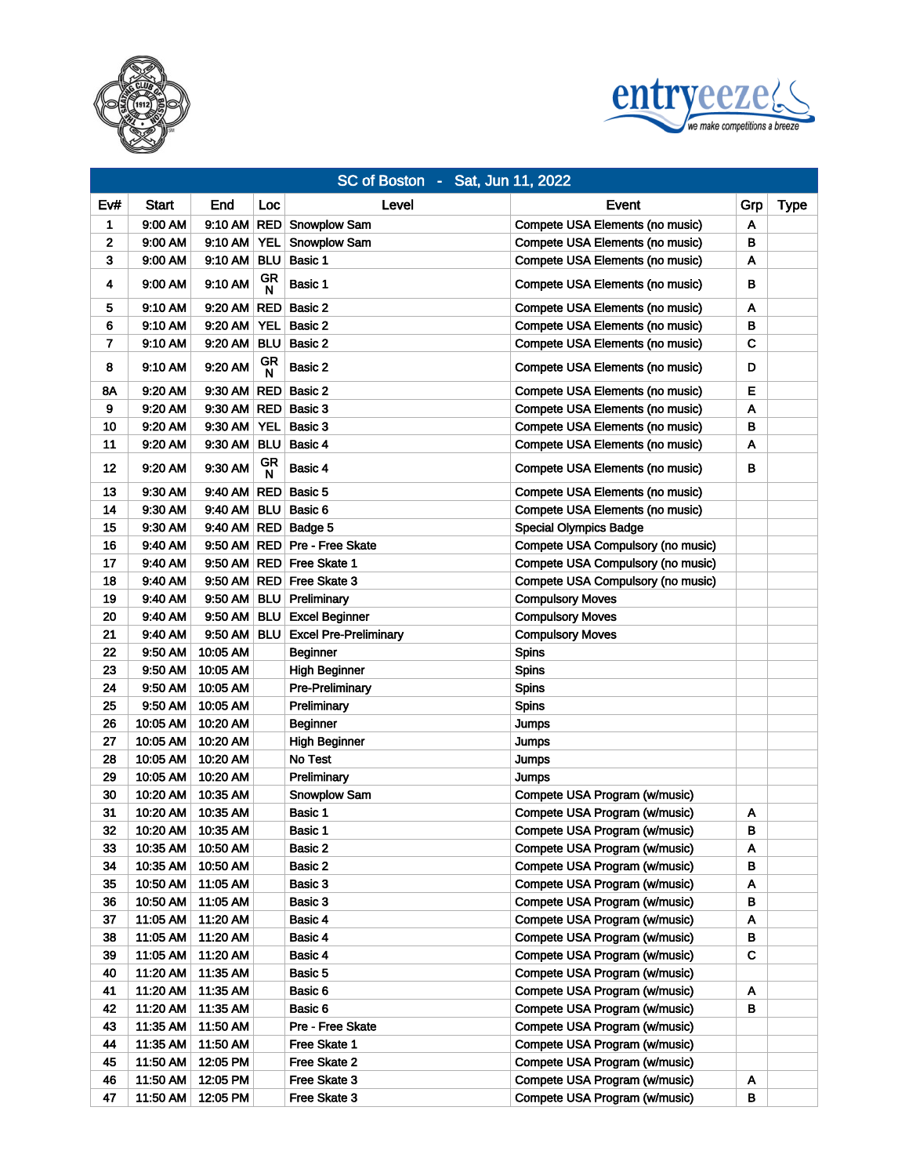



|     |          |                     |                    | SC of Boston - Sat, Jun 11, 2022 |                                   |     |             |
|-----|----------|---------------------|--------------------|----------------------------------|-----------------------------------|-----|-------------|
| Ev# | Start    | End                 | Loc                | Level                            | Event                             | Grp | <b>Type</b> |
| 1   | 9:00 AM  |                     |                    | 9:10 AM RED Snowplow Sam         | Compete USA Elements (no music)   | A   |             |
| 2   | 9:00 AM  | $9:10$ AM           | <b>YEL</b>         | Snowplow Sam                     | Compete USA Elements (no music)   | В   |             |
| 3   | 9:00 AM  | 9:10 AM             | <b>BLU</b>         | Basic 1                          | Compete USA Elements (no music)   | A   |             |
| 4   | 9:00 AM  | 9:10 AM             | GR<br>$\mathsf{N}$ | Basic 1                          | Compete USA Elements (no music)   | в   |             |
| 5   | 9:10 AM  | 9:20 AM RED Basic 2 |                    |                                  | Compete USA Elements (no music)   | A   |             |
| 6   | 9:10 AM  | $9:20$ AM           | YEL                | Basic 2                          | Compete USA Elements (no music)   | В   |             |
| 7   | 9:10 AM  | 9:20 AM BLU         |                    | Basic 2                          | Compete USA Elements (no music)   | C   |             |
| 8   | 9:10 AM  | 9:20 AM             | GR<br>N            | Basic 2                          | Compete USA Elements (no music)   | D   |             |
| 8Α  | 9:20 AM  | 9:30 AM RED         |                    | Basic 2                          | Compete USA Elements (no music)   | E   |             |
| 9   | 9:20 AM  | 9:30 AM RED         |                    | Basic 3                          | Compete USA Elements (no music)   | A   |             |
| 10  | 9:20 AM  | 9:30 AM             | <b>YEL</b>         | Basic 3                          | Compete USA Elements (no music)   | в   |             |
| 11  | 9:20 AM  | 9:30 AM   BLU       |                    | Basic 4                          | Compete USA Elements (no music)   | A   |             |
| 12  | 9:20 AM  | 9:30 AM             | GR<br>N            | Basic 4                          | Compete USA Elements (no music)   | в   |             |
| 13  | 9:30 AM  | 9:40 AM RED         |                    | Basic 5                          | Compete USA Elements (no music)   |     |             |
| 14  | 9:30 AM  | 9:40 AM             | <b>BLU</b>         | Basic 6                          | Compete USA Elements (no music)   |     |             |
| 15  | 9:30 AM  |                     |                    | 9:40 AM RED Badge 5              | <b>Special Olympics Badge</b>     |     |             |
| 16  | 9:40 AM  |                     |                    | 9:50 AM RED Pre - Free Skate     | Compete USA Compulsory (no music) |     |             |
| 17  | 9:40 AM  | 9:50 AM RED         |                    | <b>Free Skate 1</b>              | Compete USA Compulsory (no music) |     |             |
| 18  | 9:40 AM  | 9:50 AM RED         |                    | Free Skate 3                     | Compete USA Compulsory (no music) |     |             |
| 19  | 9:40 AM  | 9:50 AM             | <b>BLU</b>         | Preliminary                      | <b>Compulsory Moves</b>           |     |             |
| 20  | 9:40 AM  | 9:50 AM BLU         |                    | <b>Excel Beginner</b>            | <b>Compulsory Moves</b>           |     |             |
| 21  | 9:40 AM  | 9:50 AM BLU         |                    | <b>Excel Pre-Preliminary</b>     | <b>Compulsory Moves</b>           |     |             |
| 22  | 9:50 AM  | 10:05 AM            |                    | <b>Beginner</b>                  | <b>Spins</b>                      |     |             |
| 23  | 9:50 AM  | 10:05 AM            |                    | <b>High Beginner</b>             | <b>Spins</b>                      |     |             |
| 24  | 9:50 AM  | 10:05 AM            |                    | <b>Pre-Preliminary</b>           | <b>Spins</b>                      |     |             |
| 25  | 9:50 AM  | 10:05 AM            |                    | Preliminary                      | <b>Spins</b>                      |     |             |
| 26  | 10:05 AM | 10:20 AM            |                    | <b>Beginner</b>                  | Jumps                             |     |             |
| 27  | 10:05 AM | 10:20 AM            |                    | <b>High Beginner</b>             | Jumps                             |     |             |
| 28  | 10:05 AM | 10:20 AM            |                    | No Test                          | Jumps                             |     |             |
| 29  | 10:05 AM | 10:20 AM            |                    | Preliminary                      | Jumps                             |     |             |
| 30  | 10:20 AM | 10:35 AM            |                    | Snowplow Sam                     | Compete USA Program (w/music)     |     |             |
| 31  | 10:20 AM | 10:35 AM            |                    | Basic 1                          | Compete USA Program (w/music)     | Α   |             |
| 32  | 10:20 AM | 10:35 AM            |                    | Basic 1                          | Compete USA Program (w/music)     | B   |             |
| 33  | 10:35 AM | 10:50 AM            |                    | Basic 2                          | Compete USA Program (w/music)     | A   |             |
| 34  | 10:35 AM | 10:50 AM            |                    | Basic 2                          | Compete USA Program (w/music)     | В   |             |
| 35  | 10:50 AM | 11:05 AM            |                    | Basic 3                          | Compete USA Program (w/music)     | A   |             |
| 36  | 10:50 AM | 11:05 AM            |                    | Basic 3                          | Compete USA Program (w/music)     | В   |             |
| 37  | 11:05 AM | 11:20 AM            |                    | Basic 4                          | Compete USA Program (w/music)     | Α   |             |
| 38  | 11:05 AM | 11:20 AM            |                    | Basic 4                          | Compete USA Program (w/music)     | В   |             |
| 39  | 11:05 AM | 11:20 AM            |                    | Basic 4                          | Compete USA Program (w/music)     | C   |             |
| 40  | 11:20 AM | 11:35 AM            |                    | Basic 5                          | Compete USA Program (w/music)     |     |             |
| 41  | 11:20 AM | 11:35 AM            |                    | Basic 6                          | Compete USA Program (w/music)     | Α   |             |
| 42  | 11:20 AM | 11:35 AM            |                    | Basic 6                          | Compete USA Program (w/music)     | В   |             |
| 43  | 11:35 AM | 11:50 AM            |                    | Pre - Free Skate                 | Compete USA Program (w/music)     |     |             |
| 44  | 11:35 AM | 11:50 AM            |                    | Free Skate 1                     | Compete USA Program (w/music)     |     |             |
| 45  | 11:50 AM | 12:05 PM            |                    | Free Skate 2                     | Compete USA Program (w/music)     |     |             |
| 46  | 11:50 AM | 12:05 PM            |                    | Free Skate 3                     | Compete USA Program (w/music)     | Α   |             |
| 47  | 11:50 AM | 12:05 PM            |                    | Free Skate 3                     | Compete USA Program (w/music)     | в   |             |